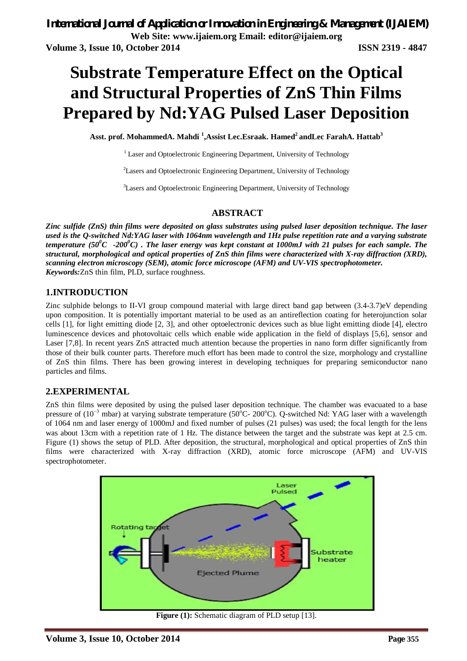# **Substrate Temperature Effect on the Optical and Structural Properties of ZnS Thin Films Prepared by Nd:YAG Pulsed Laser Deposition**

**Asst. prof. MohammedA. Mahdi <sup>1</sup> ,Assist Lec.Esraak. Hamed<sup>2</sup>andLec FarahA. Hattab<sup>3</sup>**

<sup>1</sup> Laser and Optoelectronic Engineering Department, University of Technology

<sup>2</sup>Lasers and Optoelectronic Engineering Department, University of Technology

<sup>3</sup>Lasers and Optoelectronic Engineering Department, University of Technology

#### **ABSTRACT**

*Zinc sulfide (ZnS) thin films were deposited on glass substrates using pulsed laser deposition technique. The laser used is the Q-switched Nd:YAG laser with 1064nm wavelength and 1Hz pulse repetition rate and a varying substrate temperature (50<sup>0</sup>C -200<sup>0</sup>C) . The laser energy was kept constant at 1000mJ with 21 pulses for each sample. The structural, morphological and optical properties of ZnS thin films were characterized with X-ray diffraction (XRD), scanning electron microscopy (SEM), atomic force microscope (AFM) and UV-VIS spectrophotometer. Keywords:*ZnS thin film, PLD, surface roughness.

#### **1.INTRODUCTION**

Zinc sulphide belongs to II-VI group compound material with large direct band gap between (3.4-3.7)eV depending upon composition. It is potentially important material to be used as an antireflection coating for heterojunction solar cells [1], for light emitting diode [2, 3], and other optoelectronic devices such as blue light emitting diode [4], electro luminescence devices and photovoltaic cells which enable wide application in the field of displays [5,6], sensor and Laser [7,8]. In recent years ZnS attracted much attention because the properties in nano form differ significantly from those of their bulk counter parts. Therefore much effort has been made to control the size, morphology and crystalline of ZnS thin films. There has been growing interest in developing techniques for preparing semiconductor nano particles and films.

#### **2.EXPERIMENTAL**

ZnS thin films were deposited by using the pulsed laser deposition technique. The chamber was evacuated to a base pressure of (10<sup>-3</sup> mbar) at varying substrate temperature (50°C- 200°C). Q-switched Nd: YAG laser with a wavelength of 1064 nm and laser energy of 1000mJ and fixed number of pulses (21 pulses) was used; the focal length for the lens was about 13cm with a repetition rate of 1 Hz. The distance between the target and the substrate was kept at 2.5 cm. Figure (1) shows the setup of PLD. After deposition, the structural, morphological and optical properties of ZnS thin films were characterized with X-ray diffraction (XRD), atomic force microscope (AFM) and UV-VIS spectrophotometer.



**Figure (1):** Schematic diagram of PLD setup [13].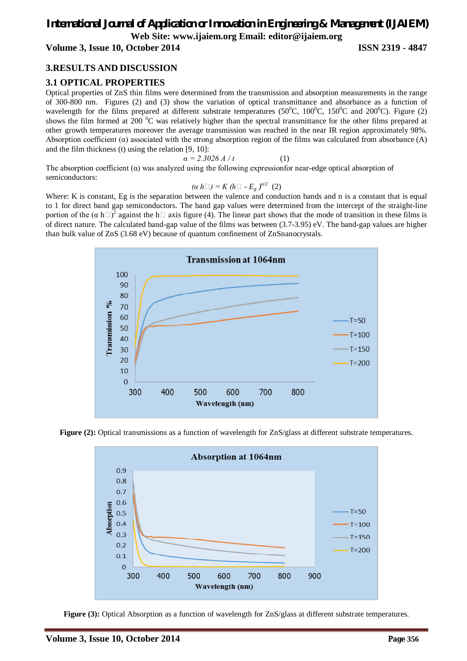# *International Journal of Application or Innovation in Engineering & Management (IJAIEM)* **Web Site: www.ijaiem.org Email: editor@ijaiem.org**

**Volume 3, Issue 10, October 2014 ISSN 2319 - 4847**

# **3.RESULTS AND DISCUSSION**

# **3.1 OPTICAL PROPERTIES**

Optical properties of ZnS thin films were determined from the transmission and absorption measurements in the range of 300-800 nm. Figures (2) and (3) show the variation of optical transmittance and absorbance as a function of wavelength for the films prepared at different substrate temperatures ( $50^{\circ}$ C,  $100^{\circ}$ C,  $150^{\circ}$ C and  $200^{\circ}$ C). Figure (2) shows the film formed at 200  $^{0}$ C was relatively higher than the spectral transmittance for the other films prepared at other growth temperatures moreover the average transmission was reached in the near IR region approximately 98%. Absorption coefficient  $(\alpha)$  associated with the strong absorption region of the films was calculated from absorbance  $(A)$ and the film thickness (t) using the relation [9, 10]:

$$
\alpha = 2.3026 A/t \tag{1}
$$

The absorption coefficient  $(a)$  was analyzed using the following expressionfor near-edge optical absorption of semiconductors:

$$
(\alpha h \Box) = K (h \Box - E_g)^{n/2} (2)
$$

Where: K is constant, Eg is the separation between the valence and conduction bands and n is a constant that is equal to 1 for direct band gap semiconductors. The band gap values were determined from the intercept of the straight-line portion of the  $(\alpha \ h \Box)^2$  against the h  $\Box$  axis figure (4). The linear part shows that the mode of transition in these films is of direct nature. The calculated band-gap value of the films was between (3.7-3.95) eV. The band-gap values are higher than bulk value of ZnS (3.68 eV) because of quantum confinement of ZnSnanocrystals.



**Figure (2):** Optical transmissions as a function of wavelength for ZnS/glass at different substrate temperatures.



**Figure (3):** Optical Absorption as a function of wavelength for ZnS/glass at different substrate temperatures.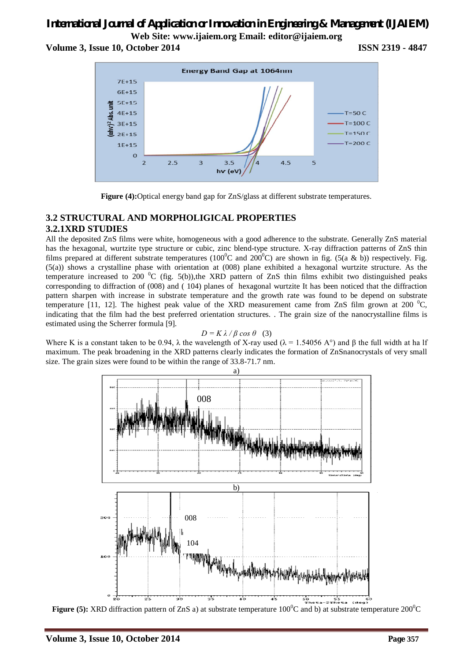# *International Journal of Application or Innovation in Engineering & Management (IJAIEM)* **Web Site: www.ijaiem.org Email: editor@ijaiem.org**

**Volume 3, Issue 10, October 2014 ISSN 2319 - 4847**





# **3.2 STRUCTURAL AND MORPHOLIGICAL PROPERTIES 3.2.1XRD STUDIES**

All the deposited ZnS films were white, homogeneous with a good adherence to the substrate. Generally ZnS material has the hexagonal, wurtzite type structure or cubic, zinc blend-type structure. X-ray diffraction patterns of ZnS thin films prepared at different substrate temperatures (100<sup>o</sup>C and 200<sup>o</sup>C) are shown in fig. (5(a & b)) respectively. Fig.  $(5(a))$  shows a crystalline phase with orientation at  $(008)$  plane exhibited a hexagonal wurtzite structure. As the temperature increased to 200  $\rm{^0C}$  (fig. 5(b)),the XRD pattern of ZnS thin films exhibit two distinguished peaks corresponding to diffraction of (008) and ( 104) planes of hexagonal wurtzite It has been noticed that the diffraction pattern sharpen with increase in substrate temperature and the growth rate was found to be depend on substrate temperature [11, 12]. The highest peak value of the XRD measurement came from ZnS film grown at 200  $^{\circ}$ C, indicating that the film had the best preferred orientation structures. . The grain size of the nanocrystalline films is estimated using the Scherrer formula [9].

#### *D* = *K*  $λ$  / *β* cos  $θ$  (3)

Where K is a constant taken to be 0.94,  $\lambda$  the wavelength of X-ray used ( $\lambda = 1.54056$  A°) and  $\beta$  the full width at ha lf maximum. The peak broadening in the XRD patterns clearly indicates the formation of ZnSnanocrystals of very small size. The grain sizes were found to be within the range of 33.8-71.7 nm.



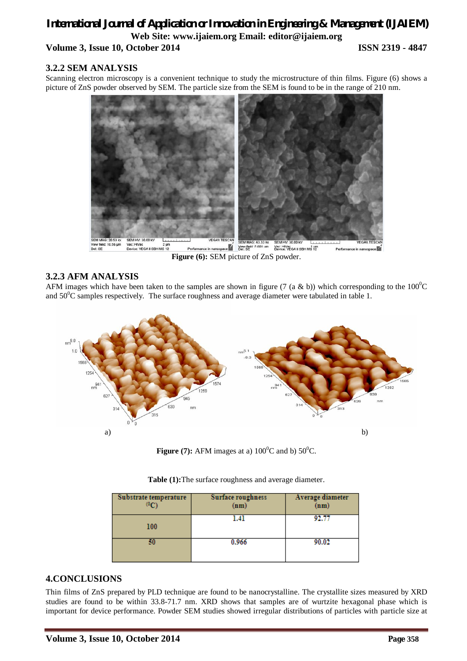# *International Journal of Application or Innovation in Engineering & Management (IJAIEM)* **Web Site: www.ijaiem.org Email: editor@ijaiem.org Volume 3, Issue 10, October 2014 ISSN 2319 - 4847**

# **3.2.2 SEM ANALYSIS**

Scanning electron microscopy is a convenient technique to study the microstructure of thin films. Figure (6) shows a picture of ZnS powder observed by SEM. The particle size from the SEM is found to be in the range of 210 nm.



# **3.2.3 AFM ANALYSIS**

AFM images which have been taken to the samples are shown in figure (7 (a & b)) which corresponding to the  $100^{\circ}$ C and  $50^0$ C samples respectively. The surface roughness and average diameter were tabulated in table 1.



**Figure (7):** AFM images at a)  $100^{\circ}$ C and b)  $50^{\circ}$ C.

| Substrate temperature<br>$^{\left(0\right)}$ | Surface roughness<br>(nm) | Average diameter<br>(nm) |
|----------------------------------------------|---------------------------|--------------------------|
| 100                                          | l.41                      | 92.77                    |
| 50                                           | 0.966                     | 90.02                    |

|  |  |  | Table (1): The surface roughness and average diameter. |  |  |
|--|--|--|--------------------------------------------------------|--|--|
|--|--|--|--------------------------------------------------------|--|--|

# **4.CONCLUSIONS**

Thin films of ZnS prepared by PLD technique are found to be nanocrystalline. The crystallite sizes measured by XRD studies are found to be within 33.8-71.7 nm. XRD shows that samples are of wurtzite hexagonal phase which is important for device performance. Powder SEM studies showed irregular distributions of particles with particle size at